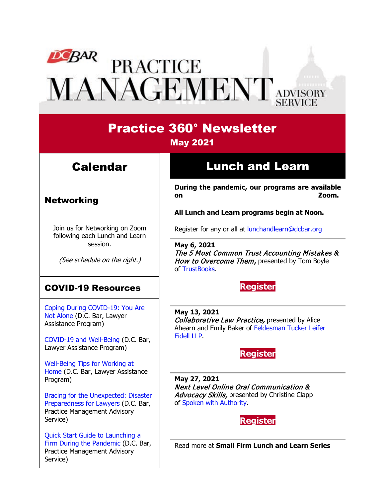# DEBAR PRACTICE<br>MANAGEMENT ADVISORY

# Practice 360° Newsletter May 2021

# Calendar

## Networking

Join us for Networking on Zoom following each Lunch and Learn session.

(See schedule on the right.)

# COVID-19 Resources

[Coping During COVID-19: You Are](https://www.dcbar.org/news-events/news/coping-during-covid-19-you-are-not-alone?utm_source=Real%20Magnet&utm_medium=INSERT_CHANNEL&utm_campaign=INSERT_LINK_ID)  [Not Alone](https://www.dcbar.org/news-events/news/coping-during-covid-19-you-are-not-alone?utm_source=Real%20Magnet&utm_medium=INSERT_CHANNEL&utm_campaign=INSERT_LINK_ID) (D.C. Bar, Lawyer Assistance Program)

[COVID-19 and Well-Being](https://dcbarcms-uat3.i3digital.com/DCBar/i3Base/DCBar/For%20Lawyers/Lawyer%20Assistance%20Program/PDFs/covid-19-and-well-being.pdf) (D.C. Bar, Lawyer Assistance Program)

[Well-Being Tips for Working at](https://dcbarcms-uat3.i3digital.com/DCBar/i3Base/DCBar/For%20Lawyers/Lawyer%20Assistance%20Program/PDFs/Wellness-Tips-Working-From-Home.pdf)  [Home](https://dcbarcms-uat3.i3digital.com/DCBar/i3Base/DCBar/For%20Lawyers/Lawyer%20Assistance%20Program/PDFs/Wellness-Tips-Working-From-Home.pdf) (D.C. Bar, Lawyer Assistance Program)

[Bracing for the Unexpected: Disaster](https://www.dcbar.org/news-events/news/bracing-for-the-unexpected-disaster-preparedness-f?utm_source=Real%20Magnet&utm_medium=INSERT_CHANNEL&utm_campaign=INSERT_LINK_ID)  [Preparedness for Lawyers](https://www.dcbar.org/news-events/news/bracing-for-the-unexpected-disaster-preparedness-f?utm_source=Real%20Magnet&utm_medium=INSERT_CHANNEL&utm_campaign=INSERT_LINK_ID) (D.C. Bar, Practice Management Advisory Service)

[Quick Start Guide to Launching a](https://www.dcbar.org/getmedia/d28b7c4b-3dcb-419e-828d-fdc2340588f9/Career-disruption-setting-up-a-law-firm-quickly-resources?utm_source=Real%20Magnet&utm_medium=INSERT_CHANNEL&utm_campaign=INSERT_LINK_ID)  [Firm During the Pandemic](https://www.dcbar.org/getmedia/d28b7c4b-3dcb-419e-828d-fdc2340588f9/Career-disruption-setting-up-a-law-firm-quickly-resources?utm_source=Real%20Magnet&utm_medium=INSERT_CHANNEL&utm_campaign=INSERT_LINK_ID) (D.C. Bar, Practice Management Advisory Service)

# Lunch and Learn

**During the pandemic, our programs are available on Zoom.**

**All Lunch and Learn programs begin at Noon.**

Register for any or all at [lunchandlearn@dcbar.org](mailto:lunchandlearn@dcbar.org?subject=Lunch%20and%20Learn)

**May 6, 2021** The 5 Most Common Trust Accounting Mistakes & How to Overcome Them, presented by Tom Boyle of [TrustBooks.](https://trustbooks.com/)

## **[Register](https://dcbar.inreachce.com/Details/Information/9184a541-0316-4cd6-8132-dc5ec2ce9a2a)**

**May 13, 2021** Collaborative Law Practice, presented by Alice Ahearn and Emily Baker of [Feldesman Tucker Leifer](https://www.feldesmantucker.com/)  [Fidell LLP.](https://www.feldesmantucker.com/)

## **[Register](https://dcbar.inreachce.com/Details/Information/5190918d-7e01-4cb8-b169-2890eceedaf6)**

**May 27, 2021** Next Level Online Oral Communication & Advocacy Skills, presented by Christine Clapp of [Spoken with Authority.](https://spokenwithauthority.com/)

**[Register](https://dcbar.inreachce.com/Details/Information/9726c3cd-22f1-46fb-9715-0b1e1ead635a)**

Read more at **[Small Firm Lunch](https://www.dcbar.org/for-lawyers/practice-management-advisory-service/courses-and-trainings/small-firm-lunch-and-learn-series?utm_source=Real%20Magnet&utm_medium=INSERT_CHANNEL&utm_campaign=INSERT_LINK_ID) and Learn Series**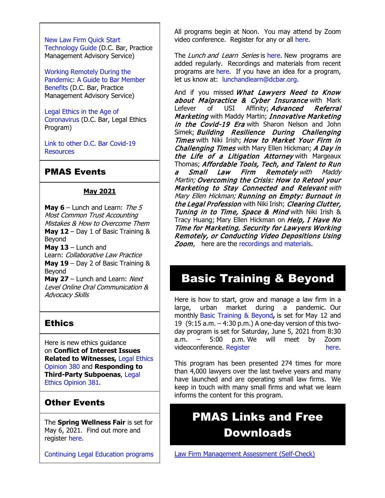[New Law Firm Quick Start](https://www.dcbar.org/getmedia/34a3addd-9a13-4fc7-8e68-fbc2be8b50e0/Quick-start-Tech-Guide-final?utm_source=Real%20Magnet&utm_medium=INSERT_CHANNEL&utm_campaign=INSERT_LINK_ID)  [Technology Guide](https://www.dcbar.org/getmedia/34a3addd-9a13-4fc7-8e68-fbc2be8b50e0/Quick-start-Tech-Guide-final?utm_source=Real%20Magnet&utm_medium=INSERT_CHANNEL&utm_campaign=INSERT_LINK_ID) (D.C. Bar, Practice Management Advisory Service)

[Working Remotely During the](https://www.dcbar.org/news-events/news/working-remotely-during-the-pandemic-a-guide-to-ba?utm_source=Real%20Magnet&utm_medium=INSERT_CHANNEL&utm_campaign=INSERT_LINK_ID)  [Pandemic: A Guide to Bar Member](https://www.dcbar.org/news-events/news/working-remotely-during-the-pandemic-a-guide-to-ba?utm_source=Real%20Magnet&utm_medium=INSERT_CHANNEL&utm_campaign=INSERT_LINK_ID)  [Benefits](https://www.dcbar.org/news-events/news/working-remotely-during-the-pandemic-a-guide-to-ba?utm_source=Real%20Magnet&utm_medium=INSERT_CHANNEL&utm_campaign=INSERT_LINK_ID) (D.C. Bar, Practice Management Advisory Service)

[Legal Ethics in the Age of](https://www.dcbar.org/news-events/news/legal-ethics-in-the-age-of-the-coronavirus?utm_source=Real%20Magnet&utm_medium=INSERT_CHANNEL&utm_campaign=INSERT_LINK_ID)  [Coronavirus](https://www.dcbar.org/news-events/news/legal-ethics-in-the-age-of-the-coronavirus?utm_source=Real%20Magnet&utm_medium=INSERT_CHANNEL&utm_campaign=INSERT_LINK_ID) (D.C. Bar, Legal Ethics Program)

[Link to other D.C. Bar Covid-19](https://www.dcbar.org/for-lawyers/membership/covid-19-resources?utm_source=Real%20Magnet&utm_medium=INSERT_CHANNEL&utm_campaign=INSERT_LINK_ID)  **[Resources](https://www.dcbar.org/for-lawyers/membership/covid-19-resources?utm_source=Real%20Magnet&utm_medium=INSERT_CHANNEL&utm_campaign=INSERT_LINK_ID)** 

## PMAS Events

#### **May 2021**

**May 6** – Lunch and Learn: The 5 Most Common Trust Accounting Mistakes & How to Overcome Them **May 12** – Day 1 of Basic Training & Beyond **May 13** – Lunch and

Learn: Collaborative Law Practice **May 19** – Day 2 of Basic Training & Beyond

**May 27** – Lunch and Learn: Next Level Online Oral Communication & Advocacy Skills

## **Ethics**

Here is new ethics guidance on **Conflict of Interest Issues Related to Witnesses,** [Legal Ethics](https://www.dcbar.org/getmedia/157836df-95d6-423c-b928-3dd1ce946c3b/opinion_380-(1)?utm_source=Real%20Magnet&utm_medium=INSERT_CHANNEL&utm_campaign=INSERT_LINK_ID)  [Opinion 380](https://www.dcbar.org/getmedia/157836df-95d6-423c-b928-3dd1ce946c3b/opinion_380-(1)?utm_source=Real%20Magnet&utm_medium=INSERT_CHANNEL&utm_campaign=INSERT_LINK_ID) and **Responding to Third-Party Subpoenas**, [Legal](https://www.dcbar.org/getmedia/841cc5e4-dffc-4da0-bc1a-b96e7f48f100/opinion_381?utm_source=Real%20Magnet&utm_medium=INSERT_CHANNEL&utm_campaign=INSERT_LINK_ID)  [Ethics Opinion 381.](https://www.dcbar.org/getmedia/841cc5e4-dffc-4da0-bc1a-b96e7f48f100/opinion_381?utm_source=Real%20Magnet&utm_medium=INSERT_CHANNEL&utm_campaign=INSERT_LINK_ID)

# Other Events

The **Spring Wellness Fair** is set for May 6, 2021. Find out more and register [here.](https://www.dcbar.org/for-lawyers/communities/spring-wellness-fair?utm_source=Real%20Magnet&utm_medium=INSERT_CHANNEL&utm_campaign=INSERT_LINK_ID)

[Continuing Legal Education programs](https://dcbar.inreachce.com/SearchResults?searchType=1&category=b7426509-0fca-4650-bf8a-8c9ace05de88)

All programs begin at Noon. You may attend by Zoom video conference. Register for any or all [here.](https://www.dcbar.org/for-lawyers/practice-management-advisory-service/courses-and-trainings/small-firm-lunch-and-learn-series?utm_source=Real%20Magnet&utm_medium=INSERT_CHANNEL&utm_campaign=INSERT_LINK_ID)

The Lunch and Learn Series is [here.](https://www.dcbar.org/for-lawyers/practice-management-advisory-service/courses-and-trainings/small-firm-lunch-and-learn-series?utm_source=Real%20Magnet&utm_medium=INSERT_CHANNEL&utm_campaign=INSERT_LINK_ID) New programs are added regularly. Recordings and materials from recent programs are [here.](https://www.dcbar.org/for-lawyers/practice-management-advisory-service/courses-and-trainings/small-firm-lunch-and-learn-series/past-lunch-and-learn-programs?utm_source=Real%20Magnet&utm_medium=INSERT_CHANNEL&utm_campaign=INSERT_LINK_ID) If you have an idea for a program, let us know at: [lunchandlearn@dcbar.org.](mailto:lunchandlearn@dcbar.org)

And if you missed *What Lawyers Need to Know* about Malpractice & Cyber Insurance with Mark Lefever of USI Affinity; *Advanced Referral* Marketing with Maddy Martin; Innovative Marketing in the Covid-19 Era with Sharon Nelson and John Simek; Building Resilience During Challenging Times with Niki Irish; How to Market Your Firm in Challenging Times with Mary Ellen Hickman; A Day in the Life of a Litigation Attorney with Margeaux Thomas; Affordable Tools, Tech, and Talent to Run a Small Law Firm Remotely with Maddy Martin; Overcoming the Crisis: How to Retool your Marketing to Stay Connected and Relevant with Mary Ellen Hickman; Running on Empty: Burnout in the Legal Profession with Niki Irish; Clearing Clutter, Tuning in to Time, Space & Mind with Niki Irish & Tracy Huang; Mary Ellen Hickman on Help, I Have No Time for Marketing, Security for Lawyers Working Remotely, or Conducting Video Depositions Using **Zoom,** here are the [recordings and materials.](https://www.dcbar.org/for-lawyers/practice-management-advisory-service/courses-and-trainings/small-firm-lunch-and-learn-series/past-lunch-and-learn-programs?utm_source=Real%20Magnet&utm_medium=INSERT_CHANNEL&utm_campaign=INSERT_LINK_ID)

# Basic Training & Beyond

Here is how to start, grow and manage a law firm in a large, urban market during a pandemic. Our monthly [Basic Training & Beyond](http://www.mmsend31.com/link.cfm?r=zvkjaWqFFUTRz65Avl-Ftw%7E%7E&pe=c3ph7NU-Re1l6uj-xoZC_Nqnf2HGTrpIRRfl_qZmlgZN_I06rShTZ-AlGs0Wp7CGgKUozsdU2izsioLhmXaRbg%7E%7E&t=prXb-jowJMuBRf73r4YKRA%7E%7E)**,** is set for May 12 and 19 (9:15 a.m. – 4:30 p.m.) A one-day version of this twoday program is set for Saturday, June 5, 2021 from 8:30 a.m. – 5:00 p.m. We will meet by Zoom videoconference. [Register here.](http://www.mmsend31.com/link.cfm?r=zvkjaWqFFUTRz65Avl-Ftw%7E%7E&pe=BxjSlIjTK_3i3Os02s37pODjnSEaSaIBfLm0UarKy-K07-G29KY0F7SoVNdKQgSYIVrXVvuyFBcMiPY5X35JOA%7E%7E&t=prXb-jowJMuBRf73r4YKRA%7E%7E)

This program has been presented 274 times for more than 4,000 lawyers over the last twelve years and many have launched and are operating small law firms. We keep in touch with many small firms and what we learn informs the content for this program.

# PMAS Links and Free **Downloads**

[Law Firm Management Assessment \(Self-Check\)](https://www.dcbar.org/for-lawyers/practice-management-advisory-service/practice-tips-and-compliance/self-check?utm_source=Real%20Magnet&utm_medium=INSERT_CHANNEL&utm_campaign=INSERT_LINK_ID)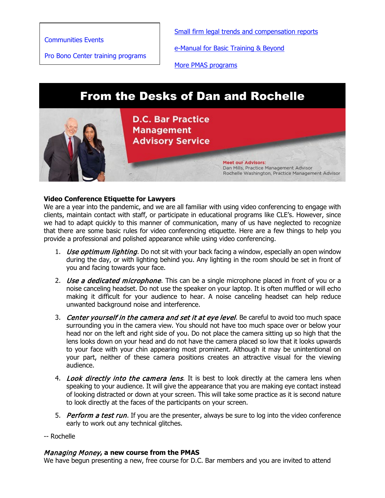[Communities Events](https://join.dcbar.org/eweb/DynamicPage.aspx?site=dcbar&webcode=EventList&utm_source=Real%20Magnet&utm_medium=INSERT_CHANNEL&utm_campaign=INSERT_LINK_ID)

[Pro Bono Center training programs](https://www.dcbar.org/pro-bono/resources-and-training/pro-bono-center-training-program?utm_source=Real%20Magnet&utm_medium=INSERT_CHANNEL&utm_campaign=INSERT_LINK_ID)

[Small firm legal trends and compensation reports](https://www.dcbar.org/for-lawyers/practice-management-advisory-service/courses-and-trainings/basic-training-beyond/basic-training-beyond-supplements?utm_source=Real%20Magnet&utm_medium=INSERT_CHANNEL&utm_campaign=INSERT_LINK_ID)

[e-Manual for Basic Training & Beyond](https://documentcloud.adobe.com/link/review?uri=urn:aaid:scds:US:2182dc5f-4a8c-435d-bb76-280eddc57a6d)

[More PMAS programs](https://www.dcbar.org/for-lawyers/practice-management-advisory-service/courses-and-trainings?utm_source=Real%20Magnet&utm_medium=INSERT_CHANNEL&utm_campaign=INSERT_LINK_ID)

# From the Desks of Dan and Rochelle



#### **Video Conference Etiquette for Lawyers**

We are a year into the pandemic, and we are all familiar with using video conferencing to engage with clients, maintain contact with staff, or participate in educational programs like CLE's. However, since we had to adapt quickly to this manner of communication, many of us have neglected to recognize that there are some basic rules for video conferencing etiquette. Here are a few things to help you provide a professional and polished appearance while using video conferencing.

- 1. *Use optimum lighting*. Do not sit with your back facing a window, especially an open window during the day, or with lighting behind you. Any lighting in the room should be set in front of you and facing towards your face.
- 2. *Use a dedicated microphone*. This can be a single microphone placed in front of you or a noise canceling headset. Do not use the speaker on your laptop. It is often muffled or will echo making it difficult for your audience to hear. A noise canceling headset can help reduce unwanted background noise and interference.
- 3. Center yourself in the camera and set it at eye level. Be careful to avoid too much space surrounding you in the camera view. You should not have too much space over or below your head nor on the left and right side of you. Do not place the camera sitting up so high that the lens looks down on your head and do not have the camera placed so low that it looks upwards to your face with your chin appearing most prominent. Although it may be unintentional on your part, neither of these camera positions creates an attractive visual for the viewing audience.
- 4. Look directly into the camera lens. It is best to look directly at the camera lens when speaking to your audience. It will give the appearance that you are making eye contact instead of looking distracted or down at your screen. This will take some practice as it is second nature to look directly at the faces of the participants on your screen.
- 5. Perform a test run. If you are the presenter, always be sure to log into the video conference early to work out any technical glitches.
- -- Rochelle

## Managing Money**, a new course from the PMAS**

We have begun presenting a new, free course for D.C. Bar members and you are invited to attend